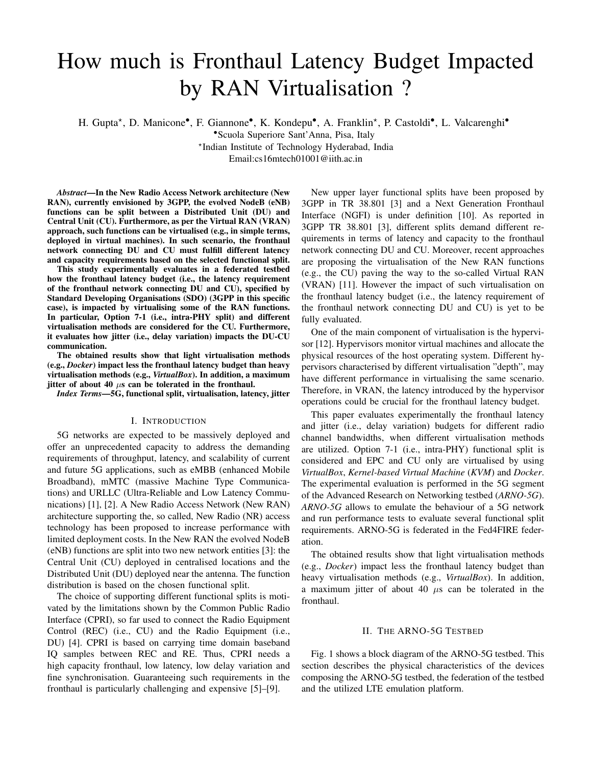# How much is Fronthaul Latency Budget Impacted by RAN Virtualisation ?

H. Gupta\*, D. Manicone<sup>•</sup>, F. Giannone<sup>•</sup>, K. Kondepu<sup>•</sup>, A. Franklin<sup>\*</sup>, P. Castoldi<sup>•</sup>, L. Valcarenghi<sup>•</sup>

•Scuola Superiore Sant'Anna, Pisa, Italy

? Indian Institute of Technology Hyderabad, India

Email:cs16mtech01001@iith.ac.in

*Abstract*—In the New Radio Access Network architecture (New RAN), currently envisioned by 3GPP, the evolved NodeB (eNB) functions can be split between a Distributed Unit (DU) and Central Unit (CU). Furthermore, as per the Virtual RAN (VRAN) approach, such functions can be virtualised (e.g., in simple terms, deployed in virtual machines). In such scenario, the fronthaul network connecting DU and CU must fulfill different latency and capacity requirements based on the selected functional split.

This study experimentally evaluates in a federated testbed how the fronthaul latency budget (i.e., the latency requirement of the fronthaul network connecting DU and CU), specified by Standard Developing Organisations (SDO) (3GPP in this specific case), is impacted by virtualising some of the RAN functions. In particular, Option 7-1 (i.e., intra-PHY split) and different virtualisation methods are considered for the CU. Furthermore, it evaluates how jitter (i.e., delay variation) impacts the DU-CU communication.

The obtained results show that light virtualisation methods (e.g., *Docker*) impact less the fronthaul latency budget than heavy virtualisation methods (e.g., *VirtualBox*). In addition, a maximum jitter of about 40  $\mu$ s can be tolerated in the fronthaul.

*Index Terms*—5G, functional split, virtualisation, latency, jitter

## I. INTRODUCTION

5G networks are expected to be massively deployed and offer an unprecedented capacity to address the demanding requirements of throughput, latency, and scalability of current and future 5G applications, such as eMBB (enhanced Mobile Broadband), mMTC (massive Machine Type Communications) and URLLC (Ultra-Reliable and Low Latency Communications) [1], [2]. A New Radio Access Network (New RAN) architecture supporting the, so called, New Radio (NR) access technology has been proposed to increase performance with limited deployment costs. In the New RAN the evolved NodeB (eNB) functions are split into two new network entities [3]: the Central Unit (CU) deployed in centralised locations and the Distributed Unit (DU) deployed near the antenna. The function distribution is based on the chosen functional split.

The choice of supporting different functional splits is motivated by the limitations shown by the Common Public Radio Interface (CPRI), so far used to connect the Radio Equipment Control (REC) (i.e., CU) and the Radio Equipment (i.e., DU) [4]. CPRI is based on carrying time domain baseband IQ samples between REC and RE. Thus, CPRI needs a high capacity fronthaul, low latency, low delay variation and fine synchronisation. Guaranteeing such requirements in the fronthaul is particularly challenging and expensive [5]–[9].

New upper layer functional splits have been proposed by 3GPP in TR 38.801 [3] and a Next Generation Fronthaul Interface (NGFI) is under definition [10]. As reported in 3GPP TR 38.801 [3], different splits demand different requirements in terms of latency and capacity to the fronthaul network connecting DU and CU. Moreover, recent approaches are proposing the virtualisation of the New RAN functions (e.g., the CU) paving the way to the so-called Virtual RAN (VRAN) [11]. However the impact of such virtualisation on the fronthaul latency budget (i.e., the latency requirement of the fronthaul network connecting DU and CU) is yet to be fully evaluated.

One of the main component of virtualisation is the hypervisor [12]. Hypervisors monitor virtual machines and allocate the physical resources of the host operating system. Different hypervisors characterised by different virtualisation "depth", may have different performance in virtualising the same scenario. Therefore, in VRAN, the latency introduced by the hypervisor operations could be crucial for the fronthaul latency budget.

This paper evaluates experimentally the fronthaul latency and jitter (i.e., delay variation) budgets for different radio channel bandwidths, when different virtualisation methods are utilized. Option 7-1 (i.e., intra-PHY) functional split is considered and EPC and CU only are virtualised by using *VirtualBox*, *Kernel-based Virtual Machine* (*KVM*) and *Docker*. The experimental evaluation is performed in the 5G segment of the Advanced Research on Networking testbed (*ARNO-5G*). *ARNO-5G* allows to emulate the behaviour of a 5G network and run performance tests to evaluate several functional split requirements. ARNO-5G is federated in the Fed4FIRE federation.

The obtained results show that light virtualisation methods (e.g., *Docker*) impact less the fronthaul latency budget than heavy virtualisation methods (e.g., *VirtualBox*). In addition, a maximum jitter of about 40  $\mu$ s can be tolerated in the fronthaul.

## II. THE ARNO-5G TESTBED

Fig. 1 shows a block diagram of the ARNO-5G testbed. This section describes the physical characteristics of the devices composing the ARNO-5G testbed, the federation of the testbed and the utilized LTE emulation platform.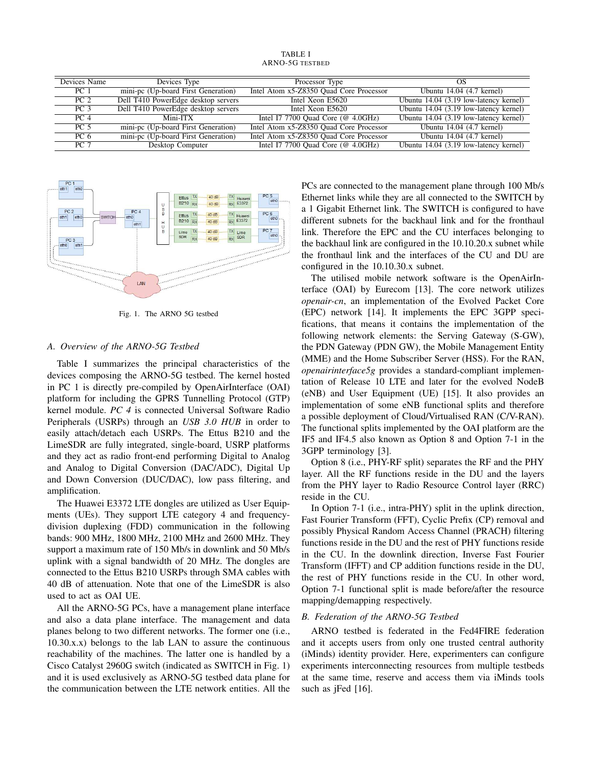TABLE I ARNO-5G TESTBED

| Devices Name    | Devices Type                        | Processor Type                                             | OS                                     |
|-----------------|-------------------------------------|------------------------------------------------------------|----------------------------------------|
| PC <sub>1</sub> | mini-pc (Up-board First Generation) | Intel Atom x5-Z8350 Quad Core Processor                    | Ubuntu 14.04 (4.7 kernel)              |
| PC <sub>2</sub> | Dell T410 PowerEdge desktop servers | Intel Xeon E5620                                           | Ubuntu 14.04 (3.19 low-latency kernel) |
| PC <sub>3</sub> | Dell T410 PowerEdge desktop servers | Intel Xeon E5620                                           | Ubuntu 14.04 (3.19 low-latency kernel) |
| PC <sub>4</sub> | Mini-ITX                            | Intel I7 7700 Quad Core ( $@$ 4.0GHz)                      | Ubuntu 14.04 (3.19 low-latency kernel) |
| <b>PC 5</b>     | mini-pc (Up-board First Generation) | Intel Atom x5-Z8350 Quad Core Processor                    | Ubuntu $14.04$ (4.7 kernel)            |
| PC <sub>6</sub> | mini-pc (Up-board First Generation) | Intel Atom x5-Z8350 Quad Core Processor                    | Ubuntu 14.04 (4.7 kernel)              |
| <b>PC 7</b>     | Desktop Computer                    | Intel I7 7700 Quad Core $(\textcircled{a} 4.0 \text{GHz})$ | Ubuntu 14.04 (3.19 low-latency kernel) |



Fig. 1. The ARNO 5G testbed

## *A. Overview of the ARNO-5G Testbed*

Table I summarizes the principal characteristics of the devices composing the ARNO-5G testbed. The kernel hosted in PC 1 is directly pre-compiled by OpenAirInterface (OAI) platform for including the GPRS Tunnelling Protocol (GTP) kernel module. *PC 4* is connected Universal Software Radio Peripherals (USRPs) through an *USB 3.0 HUB* in order to easily attach/detach each USRPs. The Ettus B210 and the LimeSDR are fully integrated, single-board, USRP platforms and they act as radio front-end performing Digital to Analog and Analog to Digital Conversion (DAC/ADC), Digital Up and Down Conversion (DUC/DAC), low pass filtering, and amplification.

The Huawei E3372 LTE dongles are utilized as User Equipments (UEs). They support LTE category 4 and frequencydivision duplexing (FDD) communication in the following bands: 900 MHz, 1800 MHz, 2100 MHz and 2600 MHz. They support a maximum rate of 150 Mb/s in downlink and 50 Mb/s uplink with a signal bandwidth of 20 MHz. The dongles are connected to the Ettus B210 USRPs through SMA cables with 40 dB of attenuation. Note that one of the LimeSDR is also used to act as OAI UE.

All the ARNO-5G PCs, have a management plane interface and also a data plane interface. The management and data planes belong to two different networks. The former one (i.e., 10.30.x.x) belongs to the lab LAN to assure the continuous reachability of the machines. The latter one is handled by a Cisco Catalyst 2960G switch (indicated as SWITCH in Fig. 1) and it is used exclusively as ARNO-5G testbed data plane for the communication between the LTE network entities. All the PCs are connected to the management plane through 100 Mb/s Ethernet links while they are all connected to the SWITCH by a 1 Gigabit Ethernet link. The SWITCH is configured to have different subnets for the backhaul link and for the fronthaul link. Therefore the EPC and the CU interfaces belonging to the backhaul link are configured in the 10.10.20.x subnet while the fronthaul link and the interfaces of the CU and DU are configured in the 10.10.30.x subnet.

The utilised mobile network software is the OpenAirInterface (OAI) by Eurecom [13]. The core network utilizes *openair-cn*, an implementation of the Evolved Packet Core (EPC) network [14]. It implements the EPC 3GPP specifications, that means it contains the implementation of the following network elements: the Serving Gateway (S-GW), the PDN Gateway (PDN GW), the Mobile Management Entity (MME) and the Home Subscriber Server (HSS). For the RAN, *openairinterface5g* provides a standard-compliant implementation of Release 10 LTE and later for the evolved NodeB (eNB) and User Equipment (UE) [15]. It also provides an implementation of some eNB functional splits and therefore a possible deployment of Cloud/Virtualised RAN (C/V-RAN). The functional splits implemented by the OAI platform are the IF5 and IF4.5 also known as Option 8 and Option 7-1 in the 3GPP terminology [3].

Option 8 (i.e., PHY-RF split) separates the RF and the PHY layer. All the RF functions reside in the DU and the layers from the PHY layer to Radio Resource Control layer (RRC) reside in the CU.

In Option 7-1 (i.e., intra-PHY) split in the uplink direction, Fast Fourier Transform (FFT), Cyclic Prefix (CP) removal and possibly Physical Random Access Channel (PRACH) filtering functions reside in the DU and the rest of PHY functions reside in the CU. In the downlink direction, Inverse Fast Fourier Transform (IFFT) and CP addition functions reside in the DU, the rest of PHY functions reside in the CU. In other word, Option 7-1 functional split is made before/after the resource mapping/demapping respectively.

# *B. Federation of the ARNO-5G Testbed*

ARNO testbed is federated in the Fed4FIRE federation and it accepts users from only one trusted central authority (iMinds) identity provider. Here, experimenters can configure experiments interconnecting resources from multiple testbeds at the same time, reserve and access them via iMinds tools such as iFed [16].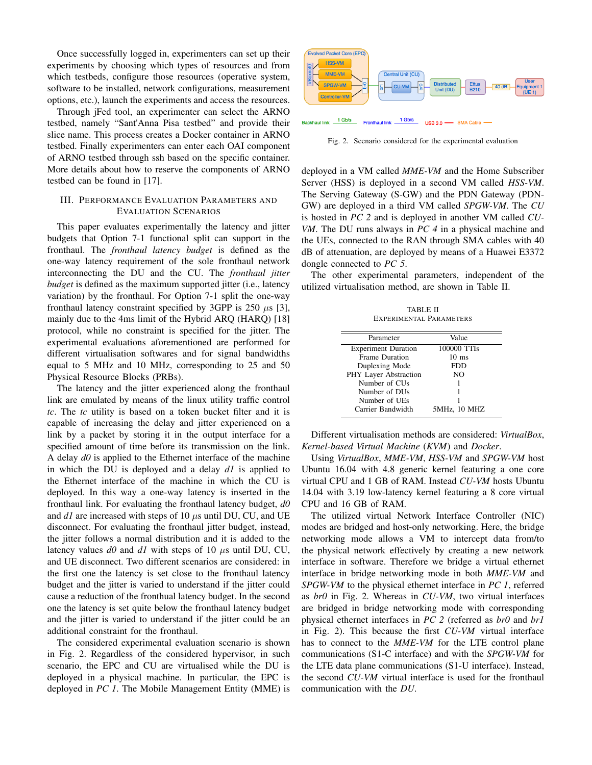Once successfully logged in, experimenters can set up their experiments by choosing which types of resources and from which testbeds, configure those resources (operative system, software to be installed, network configurations, measurement options, etc.), launch the experiments and access the resources.

Through jFed tool, an experimenter can select the ARNO testbed, namely "Sant'Anna Pisa testbed" and provide their slice name. This process creates a Docker container in ARNO testbed. Finally experimenters can enter each OAI component of ARNO testbed through ssh based on the specific container. More details about how to reserve the components of ARNO testbed can be found in [17].

# III. PERFORMANCE EVALUATION PARAMETERS AND EVALUATION SCENARIOS

This paper evaluates experimentally the latency and jitter budgets that Option 7-1 functional split can support in the fronthaul. The *fronthaul latency budget* is defined as the one-way latency requirement of the sole fronthaul network interconnecting the DU and the CU. The *fronthaul jitter budget* is defined as the maximum supported jitter (i.e., latency variation) by the fronthaul. For Option 7-1 split the one-way fronthaul latency constraint specified by 3GPP is 250  $\mu$ s [3], mainly due to the 4ms limit of the Hybrid ARQ (HARQ) [18] protocol, while no constraint is specified for the jitter. The experimental evaluations aforementioned are performed for different virtualisation softwares and for signal bandwidths equal to 5 MHz and 10 MHz, corresponding to 25 and 50 Physical Resource Blocks (PRBs).

The latency and the jitter experienced along the fronthaul link are emulated by means of the linux utility traffic control *tc*. The *tc* utility is based on a token bucket filter and it is capable of increasing the delay and jitter experienced on a link by a packet by storing it in the output interface for a specified amount of time before its transmission on the link. A delay *d0* is applied to the Ethernet interface of the machine in which the DU is deployed and a delay *d1* is applied to the Ethernet interface of the machine in which the CU is deployed. In this way a one-way latency is inserted in the fronthaul link. For evaluating the fronthaul latency budget, *d0* and  $dI$  are increased with steps of 10  $\mu$ s until DU, CU, and UE disconnect. For evaluating the fronthaul jitter budget, instead, the jitter follows a normal distribution and it is added to the latency values  $d\theta$  and  $d\theta$  with steps of 10  $\mu$ s until DU, CU, and UE disconnect. Two different scenarios are considered: in the first one the latency is set close to the fronthaul latency budget and the jitter is varied to understand if the jitter could cause a reduction of the fronthual latency budget. In the second one the latency is set quite below the fronthaul latency budget and the jitter is varied to understand if the jitter could be an additional constraint for the fronthaul.

The considered experimental evaluation scenario is shown in Fig. 2. Regardless of the considered hypervisor, in such scenario, the EPC and CU are virtualised while the DU is deployed in a physical machine. In particular, the EPC is deployed in *PC 1*. The Mobile Management Entity (MME) is



 $1$  Gb/s 1 Gb/s **Backhaul link Fronthaul link** USB 3.0  $-$ - SMA Cable

Fig. 2. Scenario considered for the experimental evaluation

deployed in a VM called *MME-VM* and the Home Subscriber Server (HSS) is deployed in a second VM called *HSS-VM*. The Serving Gateway (S-GW) and the PDN Gateway (PDN-GW) are deployed in a third VM called *SPGW-VM*. The *CU* is hosted in *PC 2* and is deployed in another VM called *CU-VM*. The DU runs always in *PC 4* in a physical machine and the UEs, connected to the RAN through SMA cables with 40 dB of attenuation, are deployed by means of a Huawei E3372 dongle connected to *PC 5*.

The other experimental parameters, independent of the utilized virtualisation method, are shown in Table II.

TABLE II EXPERIMENTAL PARAMETERS

| Parameter                  | Value           |  |
|----------------------------|-----------------|--|
| <b>Experiment Duration</b> | 100000 TTIs     |  |
| <b>Frame Duration</b>      | $10 \text{ ms}$ |  |
| Duplexing Mode             | FDD             |  |
| PHY Layer Abstraction      | NO              |  |
| Number of CU <sub>s</sub>  |                 |  |
| Number of DU <sub>s</sub>  |                 |  |
| Number of UEs              |                 |  |
| Carrier Bandwidth          | 5MHz, 10 MHZ    |  |

Different virtualisation methods are considered: *VirtualBox*, *Kernel-based Virtual Machine* (*KVM*) and *Docker*.

Using *VirtualBox*, *MME-VM*, *HSS-VM* and *SPGW-VM* host Ubuntu 16.04 with 4.8 generic kernel featuring a one core virtual CPU and 1 GB of RAM. Instead *CU-VM* hosts Ubuntu 14.04 with 3.19 low-latency kernel featuring a 8 core virtual CPU and 16 GB of RAM.

The utilized virtual Network Interface Controller (NIC) modes are bridged and host-only networking. Here, the bridge networking mode allows a VM to intercept data from/to the physical network effectively by creating a new network interface in software. Therefore we bridge a virtual ethernet interface in bridge networking mode in both *MME-VM* and *SPGW-VM* to the physical ethernet interface in *PC 1*, referred as *br0* in Fig. 2. Whereas in *CU-VM*, two virtual interfaces are bridged in bridge networking mode with corresponding physical ethernet interfaces in *PC 2* (referred as *br0* and *br1* in Fig. 2). This because the first *CU-VM* virtual interface has to connect to the *MME-VM* for the LTE control plane communications (S1-C interface) and with the *SPGW-VM* for the LTE data plane communications (S1-U interface). Instead, the second *CU-VM* virtual interface is used for the fronthaul communication with the *DU*.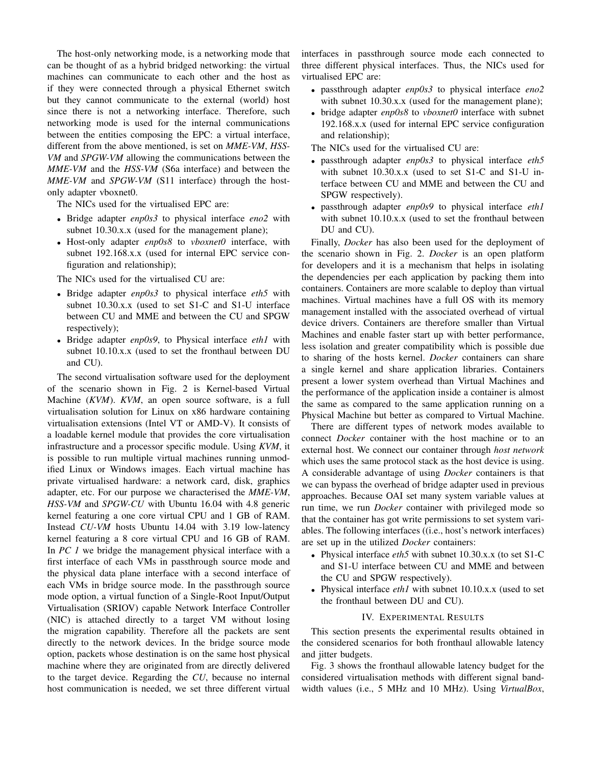The host-only networking mode, is a networking mode that can be thought of as a hybrid bridged networking: the virtual machines can communicate to each other and the host as if they were connected through a physical Ethernet switch but they cannot communicate to the external (world) host since there is not a networking interface. Therefore, such networking mode is used for the internal communications between the entities composing the EPC: a virtual interface, different from the above mentioned, is set on *MME-VM*, *HSS-VM* and *SPGW-VM* allowing the communications between the *MME-VM* and the *HSS-VM* (S6a interface) and between the *MME-VM* and *SPGW-VM* (S11 interface) through the hostonly adapter vboxnet0.

The NICs used for the virtualised EPC are:

- Bridge adapter *enp0s3* to physical interface *eno2* with subnet 10.30.x.x (used for the management plane);
- Host-only adapter *enp0s8* to *vboxnet0* interface, with subnet 192.168.x.x (used for internal EPC service configuration and relationship);

The NICs used for the virtualised CU are:

- Bridge adapter *enp0s3* to physical interface *eth5* with subnet 10.30.x.x (used to set S1-C and S1-U interface between CU and MME and between the CU and SPGW respectively);
- Bridge adapter *enp0s9*, to Physical interface *eth1* with subnet 10.10.x.x (used to set the fronthaul between DU and CU).

The second virtualisation software used for the deployment of the scenario shown in Fig. 2 is Kernel-based Virtual Machine (*KVM*). *KVM*, an open source software, is a full virtualisation solution for Linux on x86 hardware containing virtualisation extensions (Intel VT or AMD-V). It consists of a loadable kernel module that provides the core virtualisation infrastructure and a processor specific module. Using *KVM*, it is possible to run multiple virtual machines running unmodified Linux or Windows images. Each virtual machine has private virtualised hardware: a network card, disk, graphics adapter, etc. For our purpose we characterised the *MME-VM*, *HSS-VM* and *SPGW-CU* with Ubuntu 16.04 with 4.8 generic kernel featuring a one core virtual CPU and 1 GB of RAM. Instead *CU-VM* hosts Ubuntu 14.04 with 3.19 low-latency kernel featuring a 8 core virtual CPU and 16 GB of RAM. In *PC 1* we bridge the management physical interface with a first interface of each VMs in passthrough source mode and the physical data plane interface with a second interface of each VMs in bridge source mode. In the passthrough source mode option, a virtual function of a Single-Root Input/Output Virtualisation (SRIOV) capable Network Interface Controller (NIC) is attached directly to a target VM without losing the migration capability. Therefore all the packets are sent directly to the network devices. In the bridge source mode option, packets whose destination is on the same host physical machine where they are originated from are directly delivered to the target device. Regarding the *CU*, because no internal host communication is needed, we set three different virtual

interfaces in passthrough source mode each connected to three different physical interfaces. Thus, the NICs used for virtualised EPC are:

- passthrough adapter *enp0s3* to physical interface *eno2* with subnet 10.30.x.x (used for the management plane);
- bridge adapter *enp0s8* to *vboxnet0* interface with subnet 192.168.x.x (used for internal EPC service configuration and relationship);

The NICs used for the virtualised CU are:

- passthrough adapter *enp0s3* to physical interface *eth5* with subnet 10.30.x.x (used to set S1-C and S1-U interface between CU and MME and between the CU and SPGW respectively).
- passthrough adapter *enp0s9* to physical interface *eth1* with subnet 10.10.x.x (used to set the fronthaul between DU and CU).

Finally, *Docker* has also been used for the deployment of the scenario shown in Fig. 2. *Docker* is an open platform for developers and it is a mechanism that helps in isolating the dependencies per each application by packing them into containers. Containers are more scalable to deploy than virtual machines. Virtual machines have a full OS with its memory management installed with the associated overhead of virtual device drivers. Containers are therefore smaller than Virtual Machines and enable faster start up with better performance, less isolation and greater compatibility which is possible due to sharing of the hosts kernel. *Docker* containers can share a single kernel and share application libraries. Containers present a lower system overhead than Virtual Machines and the performance of the application inside a container is almost the same as compared to the same application running on a Physical Machine but better as compared to Virtual Machine.

There are different types of network modes available to connect *Docker* container with the host machine or to an external host. We connect our container through *host network* which uses the same protocol stack as the host device is using. A considerable advantage of using *Docker* containers is that we can bypass the overhead of bridge adapter used in previous approaches. Because OAI set many system variable values at run time, we run *Docker* container with privileged mode so that the container has got write permissions to set system variables. The following interfaces ((i.e., host's network interfaces) are set up in the utilized *Docker* containers:

- Physical interface *eth5* with subnet 10.30.x.x (to set S1-C and S1-U interface between CU and MME and between the CU and SPGW respectively).
- Physical interface *eth1* with subnet 10.10.x.x (used to set the fronthaul between DU and CU).

#### IV. EXPERIMENTAL RESULTS

This section presents the experimental results obtained in the considered scenarios for both fronthaul allowable latency and jitter budgets.

Fig. 3 shows the fronthaul allowable latency budget for the considered virtualisation methods with different signal bandwidth values (i.e., 5 MHz and 10 MHz). Using *VirtualBox*,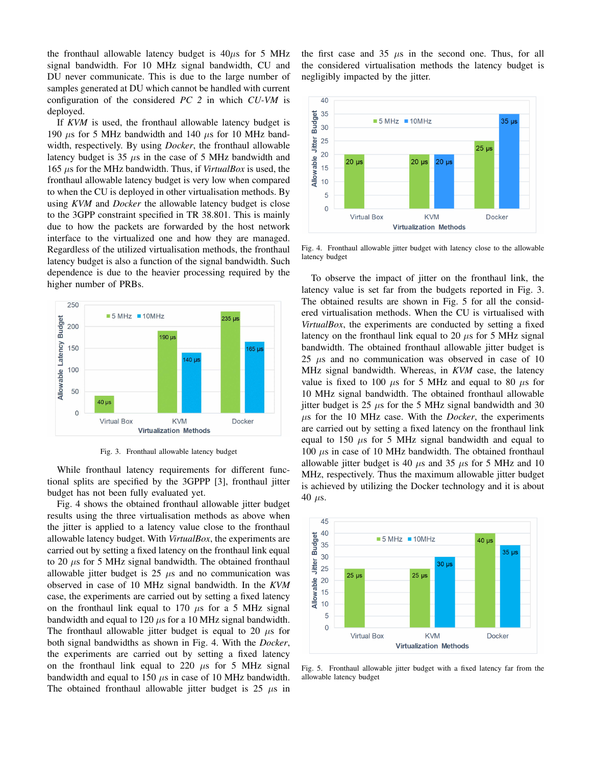the fronthaul allowable latency budget is  $40\mu s$  for 5 MHz signal bandwidth. For 10 MHz signal bandwidth, CU and DU never communicate. This is due to the large number of samples generated at DU which cannot be handled with current configuration of the considered *PC 2* in which *CU-VM* is deployed.

If *KVM* is used, the fronthaul allowable latency budget is 190  $\mu$ s for 5 MHz bandwidth and 140  $\mu$ s for 10 MHz bandwidth, respectively. By using *Docker*, the fronthaul allowable latency budget is 35  $\mu$ s in the case of 5 MHz bandwidth and 165 µs for the MHz bandwidth. Thus, if *VirtualBox* is used, the fronthaul allowable latency budget is very low when compared to when the CU is deployed in other virtualisation methods. By using *KVM* and *Docker* the allowable latency budget is close to the 3GPP constraint specified in TR 38.801. This is mainly due to how the packets are forwarded by the host network interface to the virtualized one and how they are managed. Regardless of the utilized virtualisation methods, the fronthaul latency budget is also a function of the signal bandwidth. Such dependence is due to the heavier processing required by the higher number of PRBs.



Fig. 3. Fronthaul allowable latency budget

While fronthaul latency requirements for different functional splits are specified by the 3GPPP [3], fronthaul jitter budget has not been fully evaluated yet.

Fig. 4 shows the obtained fronthaul allowable jitter budget results using the three virtualisation methods as above when the jitter is applied to a latency value close to the fronthaul allowable latency budget. With *VirtualBox*, the experiments are carried out by setting a fixed latency on the fronthaul link equal to 20  $\mu$ s for 5 MHz signal bandwidth. The obtained fronthaul allowable jitter budget is  $25 \mu s$  and no communication was observed in case of 10 MHz signal bandwidth. In the *KVM* case, the experiments are carried out by setting a fixed latency on the fronthaul link equal to 170  $\mu$ s for a 5 MHz signal bandwidth and equal to 120  $\mu$ s for a 10 MHz signal bandwidth. The fronthaul allowable jitter budget is equal to 20  $\mu$ s for both signal bandwidths as shown in Fig. 4. With the *Docker*, the experiments are carried out by setting a fixed latency on the fronthaul link equal to 220  $\mu$ s for 5 MHz signal bandwidth and equal to 150  $\mu$ s in case of 10 MHz bandwidth. The obtained fronthaul allowable jitter budget is  $25 \mu s$  in the first case and  $35 \mu s$  in the second one. Thus, for all the considered virtualisation methods the latency budget is negligibly impacted by the jitter.



Fig. 4. Fronthaul allowable jitter budget with latency close to the allowable latency budget

To observe the impact of jitter on the fronthaul link, the latency value is set far from the budgets reported in Fig. 3. The obtained results are shown in Fig. 5 for all the considered virtualisation methods. When the CU is virtualised with *VirtualBox*, the experiments are conducted by setting a fixed latency on the fronthaul link equal to 20  $\mu$ s for 5 MHz signal bandwidth. The obtained fronthaul allowable jitter budget is 25  $\mu$ s and no communication was observed in case of 10 MHz signal bandwidth. Whereas, in *KVM* case, the latency value is fixed to 100  $\mu$ s for 5 MHz and equal to 80  $\mu$ s for 10 MHz signal bandwidth. The obtained fronthaul allowable jitter budget is 25  $\mu$ s for the 5 MHz signal bandwidth and 30 µs for the 10 MHz case. With the *Docker*, the experiments are carried out by setting a fixed latency on the fronthaul link equal to 150  $\mu$ s for 5 MHz signal bandwidth and equal to  $100 \mu s$  in case of 10 MHz bandwidth. The obtained fronthaul allowable jitter budget is 40  $\mu$ s and 35  $\mu$ s for 5 MHz and 10 MHz, respectively. Thus the maximum allowable jitter budget is achieved by utilizing the Docker technology and it is about 40  $\mu$ s.



Fig. 5. Fronthaul allowable jitter budget with a fixed latency far from the allowable latency budget